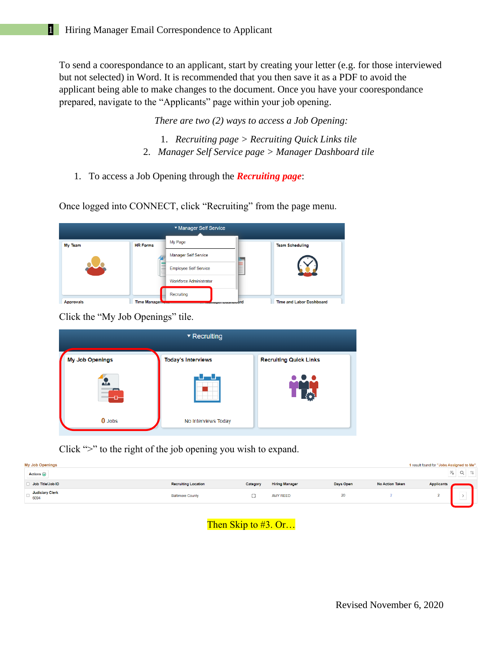To send a coorespondance to an applicant, start by creating your letter (e.g. for those interviewed but not selected) in Word. It is recommended that you then save it as a PDF to avoid the applicant being able to make changes to the document. Once you have your coorespondance prepared, navigate to the "Applicants" page within your job opening.

*There are two (2) ways to access a Job Opening:*

- 1. *Recruiting page > Recruiting Quick Links tile* 2. *Manager Self Service page > Manager Dashboard tile*
- 1. To access a Job Opening through the *Recruiting page*:

Once logged into CONNECT, click "Recruiting" from the page menu.

|                  |                 | ▼ Manager Self Service         |       |                                 |
|------------------|-----------------|--------------------------------|-------|---------------------------------|
| My Team          | <b>HR Forms</b> | My Page                        |       | <b>Team Scheduling</b>          |
|                  |                 | Manager Self Service           |       |                                 |
|                  |                 | <b>Employee Self Service</b>   | <br>- |                                 |
|                  |                 | <b>Workforce Administrator</b> |       |                                 |
|                  |                 | Recruiting                     |       |                                 |
| <b>Approvals</b> | Time Managen    | niuger Dusmoodrd               |       | <b>Time and Labor Dashboard</b> |

Click the "My Job Openings" tile.

|                        | $\blacktriangledown$ Recruiting |                                   |
|------------------------|---------------------------------|-----------------------------------|
| <b>My Job Openings</b> | <b>Today's Interviews</b>       | <b>Recruiting Quick Links</b>     |
| $\frac{1}{2}$<br>A     |                                 | $\bullet$ $\bullet$<br><b>40p</b> |
| <b>0</b> Jobs          | No Interviews Today             |                                   |

Click ">" to the right of the job opening you wish to expand.

| <b>My Job Openings</b><br>1 result found for "Jobs Assigned to Me".<br>Actions $\odot$ |                            |          |                       |           | $\alpha$               |                   |   |  |
|----------------------------------------------------------------------------------------|----------------------------|----------|-----------------------|-----------|------------------------|-------------------|---|--|
| Job Title/Job ID                                                                       | <b>Recruiting Location</b> | Category | <b>Hiring Manager</b> | Days Open | <b>No Action Taken</b> | <b>Applicants</b> |   |  |
| Judiciary Clerk                                                                        | <b>Baltimore County</b>    |          | <b>AMY REED</b>       | 20        |                        |                   | _ |  |
|                                                                                        |                            |          |                       |           |                        |                   |   |  |

Then Skip to #3. Or...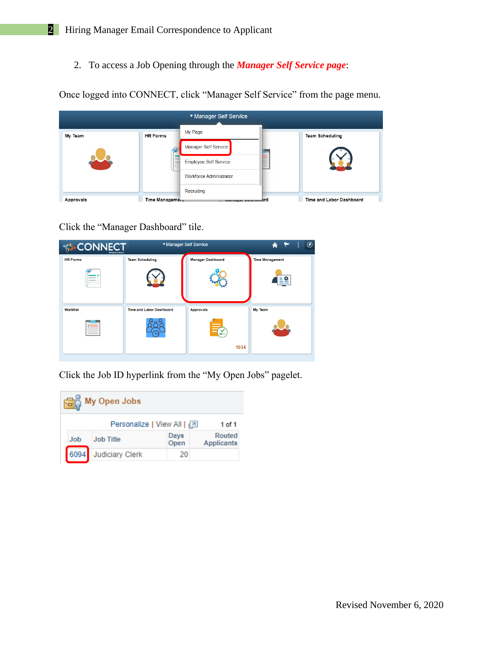2. To access a Job Opening through the *Manager Self Service page*:

Once logged into CONNECT, click "Manager Self Service" from the page menu.

|                  |                 | ▼ Manager Self Service         |                                 |
|------------------|-----------------|--------------------------------|---------------------------------|
| <b>My Team</b>   | <b>HR Forms</b> | My Page                        | <b>Team Scheduling</b>          |
|                  |                 | Manager Self Service           |                                 |
|                  |                 | <b>Employee Self Service</b>   |                                 |
|                  |                 | <b>Workforce Administrator</b> |                                 |
|                  |                 | Recruiting                     |                                 |
| <b>Approvals</b> | Time Management | manager Dasmoodrd              | <b>Time and Labor Dashboard</b> |

Click the "Manager Dashboard" tile.

| <b>CONNECT</b><br>Maryland Judiciary | ▼ Manager Self Service          |                          | $\circledcirc$<br>⋒<br>÷ |
|--------------------------------------|---------------------------------|--------------------------|--------------------------|
| <b>HR Forms</b>                      | <b>Team Scheduling</b>          | <b>Manager Dashboard</b> | <b>Time Management</b>   |
|                                      |                                 |                          |                          |
| Worklist                             | <b>Time and Labor Dashboard</b> | <b>Approvals</b>         | My Team                  |
|                                      |                                 |                          |                          |
|                                      |                                 | 1034                     |                          |

Click the Job ID hyperlink from the "My Open Jobs" pagelet.